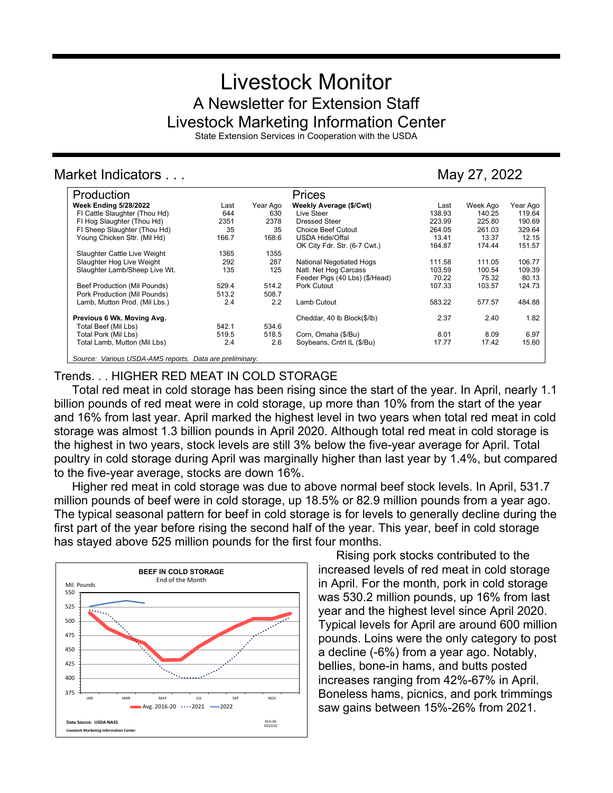# Livestock Monitor A Newsletter for Extension Staff Livestock Marketing Information Center

State Extension Services in Cooperation with the USDA

## Market Indicators . . . May 27, 2022

| Production                                              |       |          | Prices                          |        |          |          |
|---------------------------------------------------------|-------|----------|---------------------------------|--------|----------|----------|
| <b>Week Ending 5/28/2022</b>                            | Last  | Year Ago | Weekly Average (\$/Cwt)         | Last   | Week Ago | Year Ago |
| FI Cattle Slaughter (Thou Hd)                           | 644   | 630      | Live Steer                      | 138.93 | 140.25   | 119.64   |
| FI Hog Slaughter (Thou Hd)                              | 2351  | 2378     | <b>Dressed Steer</b>            | 223.99 | 225.80   | 190.69   |
| FI Sheep Slaughter (Thou Hd)                            | 35    | 35       | <b>Choice Beef Cutout</b>       | 264.05 | 261.03   | 329.64   |
| Young Chicken Sltr. (Mil Hd)                            | 166.7 | 168.6    | <b>USDA Hide/Offal</b>          | 13.41  | 13.37    | 12.15    |
|                                                         |       |          | OK City Fdr. Str. (6-7 Cwt.)    | 164.87 | 174.44   | 151.57   |
| Slaughter Cattle Live Weight                            | 1365  | 1355     |                                 |        |          |          |
| Slaughter Hog Live Weight                               | 292   | 287      | <b>National Negotiated Hogs</b> | 111.58 | 111.05   | 106.77   |
| Slaughter Lamb/Sheep Live Wt.                           | 135   | 125      | Natl. Net Hog Carcass           | 103.59 | 100.54   | 109.39   |
|                                                         |       |          | Feeder Pigs (40 Lbs) (\$/Head)  | 70.22  | 75.32    | 80.13    |
| Beef Production (Mil Pounds)                            | 529.4 | 514.2    | Pork Cutout                     | 107.33 | 103.57   | 124.73   |
| Pork Production (Mil Pounds)                            | 513.2 | 508.7    |                                 |        |          |          |
| Lamb, Mutton Prod. (Mil Lbs.)                           | 2.4   | 2.2      | Lamb Cutout                     | 583.22 | 577.57   | 484.88   |
| Previous 6 Wk. Moving Avg.                              |       |          | Cheddar, 40 lb Block(\$/lb)     | 2.37   | 2.40     | 1.82     |
| Total Beef (Mil Lbs)                                    | 542.1 | 534.6    |                                 |        |          |          |
| Total Pork (Mil Lbs)                                    | 519.5 | 518.5    | Corn, Omaha (\$/Bu)             | 8.01   | 8.09     | 6.97     |
| Total Lamb, Mutton (Mil Lbs)                            | 2.4   | 2.6      | Soybeans, Cntrl IL (\$/Bu)      | 17.77  | 17.42    | 15.60    |
| Source: Various USDA-AMS reports. Data are preliminary. |       |          |                                 |        |          |          |

## Trends. . . HIGHER RED MEAT IN COLD STORAGE

Total red meat in cold storage has been rising since the start of the year. In April, nearly 1.1 billion pounds of red meat were in cold storage, up more than 10% from the start of the year and 16% from last year. April marked the highest level in two years when total red meat in cold storage was almost 1.3 billion pounds in April 2020. Although total red meat in cold storage is the highest in two years, stock levels are still 3% below the five-year average for April. Total poultry in cold storage during April was marginally higher than last year by 1.4%, but compared to the five-year average, stocks are down 16%.

Higher red meat in cold storage was due to above normal beef stock levels. In April, 531.7 million pounds of beef were in cold storage, up 18.5% or 82.9 million pounds from a year ago. The typical seasonal pattern for beef in cold storage is for levels to generally decline during the first part of the year before rising the second half of the year. This year, beef in cold storage has stayed above 525 million pounds for the first four months.



Rising pork stocks contributed to the increased levels of red meat in cold storage in April. For the month, pork in cold storage was 530.2 million pounds, up 16% from last year and the highest level since April 2020. Typical levels for April are around 600 million pounds. Loins were the only category to post a decline (-6%) from a year ago. Notably, bellies, bone-in hams, and butts posted increases ranging from 42%-67% in April. Boneless hams, picnics, and pork trimmings saw gains between 15%-26% from 2021.